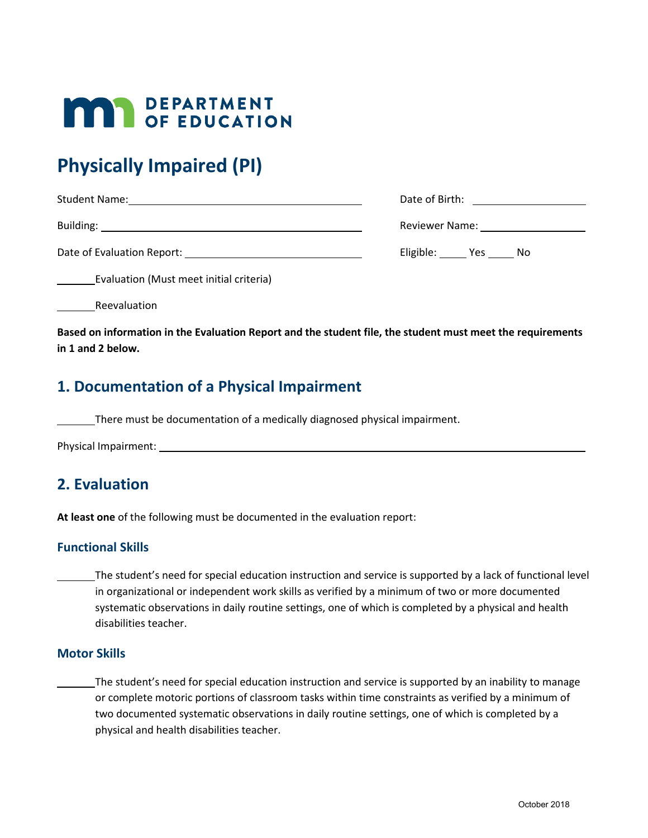# **MAR** DEPARTMENT

# **Physically Impaired (PI)**

| <b>Student Name:</b>       | Date of Birth: <u>____________________</u>                                                                     |
|----------------------------|----------------------------------------------------------------------------------------------------------------|
|                            | Reviewer Name: will be a series of the series of the series of the series of the series of the series of the s |
| Date of Evaluation Report: | Eligible: Yes No                                                                                               |

Evaluation (Must meet initial criteria)

Reevaluation

**Based on information in the Evaluation Report and the student file, the student must meet the requirements in 1 and 2 below.**

### **1. Documentation of a Physical Impairment**

There must be documentation of a medically diagnosed physical impairment.

Physical Impairment:

## **2. Evaluation**

**At least one** of the following must be documented in the evaluation report:

#### **Functional Skills**

The student's need for special education instruction and service is supported by a lack of functional level in organizational or independent work skills as verified by a minimum of two or more documented systematic observations in daily routine settings, one of which is completed by a physical and health disabilities teacher.

#### **Motor Skills**

The student's need for special education instruction and service is supported by an inability to manage or complete motoric portions of classroom tasks within time constraints as verified by a minimum of two documented systematic observations in daily routine settings, one of which is completed by a physical and health disabilities teacher.